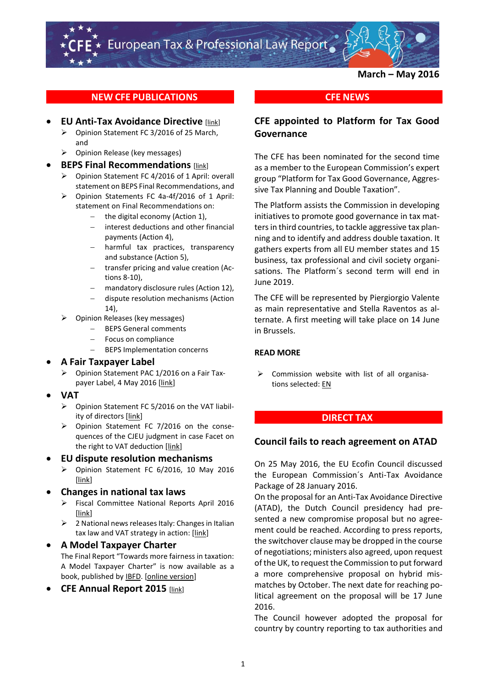**March – May 2016**

## **NEW CFE PUBLICATIONS**

### **EU Anti-Tax Avoidance Directive [\[link\]](http://www.cfe-eutax.org/node/5135)**

- Opinion Statement FC 3/2016 of 25 March, and
- $\triangleright$  Opinion Release (key messages)
- **BEPS Final Recommendations** [\[link\]](http://www.cfe-eutax.org/node/5136)
	- Opinion Statement FC 4/2016 of 1 April: overall statement on BEPS Final Recommendations, and
	- Opinion Statements FC 4a-4f/2016 of 1 April: statement on Final Recommendations on:
		- the digital economy (Action 1),
		- interest deductions and other financial payments (Action 4),
		- harmful tax practices, transparency and substance (Action 5),
		- transfer pricing and value creation (Actions 8-10),
		- mandatory disclosure rules (Action 12),
		- dispute resolution mechanisms (Action 14),
	- Opinion Releases (key messages)
		- BEPS General comments
		- Focus on compliance
		- BEPS Implementation concerns

### **A Fair Taxpayer Label**

- Opinion Statement PAC 1/2016 on a Fair Taxpayer Label, 4 May 2016 [\[link\]](http://www.cfe-eutax.org/node/5350)
- **VAT**
	- Opinion Statement FC 5/2016 on the VAT liability of directors [\[link\]](http://www.cfe-eutax.org/node/5351)
	- Opinion Statement FC 7/2016 on the consequences of the CJEU judgment in case Facet on the right to VAT deduction [\[link\]](http://www.cfe-eutax.org/node/5354)

### **EU dispute resolution mechanisms**

 $\triangleright$  Opinion Statement FC 6/2016, 10 May 2016 [\[link\]](http://www.cfe-eutax.org/node/5352)

### **Changes in national tax laws**

- Fiscal Committee National Reports April 2016 [\[link\]](http://www.cfe-eutax.org/node/5355)
- $\triangleright$  2 National news releases Italy: Changes in Italian tax law and VAT strategy in action: [\[link\]](http://www.cfe-eutax.org/node/5358)

### **A Model Taxpayer Charter**

The Final Report "Towards more fairness in taxation: A Model Taxpayer Charter" is now available as a book, published by [IBFD.](http://www.ibfd.org/IBFD-Products/Towards-Greater-Fairness-Taxation-Model-Taxpayer-Charter) [\[online version\]](http://www.taxpayercharter.com/)

**CFE Annual Report 2015** [\[link\]](http://www.cfe-eutax.org/node/5133)

## **\_\_\_\_\_\_\_\_\_\_ \_\_ \_CFE NEWS \_ \_ \_\_\_\_\_\_\_\_\_\_\_**

## **CFE appointed to Platform for Tax Good Governance**

The CFE has been nominated for the second time as a member to the European Commission's expert group "Platform for Tax Good Governance, Aggressive Tax Planning and Double Taxation".

The Platform assists the Commission in developing initiatives to promote good governance in tax matters in third countries, to tackle aggressive tax planning and to identify and address double taxation. It gathers experts from all EU member states and 15 business, tax professional and civil society organisations. The Platform´s second term will end in June 2019.

The CFE will be represented by Piergiorgio Valente as main representative and Stella Raventos as alternate. A first meeting will take place on 14 June in Brussels.

### **READ MORE**

 $\triangleright$  Commission website with list of all organisations selected[: EN](http://ec.europa.eu/taxation_customs/taxation/gen_info/good_governance_matters/platform/index_en.htm#whatsnew)

### **\_\_\_\_\_\_\_\_\_\_ \_\_ \_DIRECT TAX \_\_\_\_\_\_\_\_\_\_\_\_\_**

### **Council fails to reach agreement on ATAD**

On 25 May 2016, the EU Ecofin Council discussed the European Commission´s Anti-Tax Avoidance Package of 28 January 2016.

On the proposal for an Anti-Tax Avoidance Directive (ATAD), the Dutch Council presidency had presented a new compromise proposal but no agreement could be reached. According to press reports, the switchover clause may be dropped in the course of negotiations; ministers also agreed, upon request of the UK, to request the Commission to put forward a more comprehensive proposal on hybrid mismatches by October. The next date for reaching political agreement on the proposal will be 17 June 2016.

The Council however adopted the proposal for country by country reporting to tax authorities and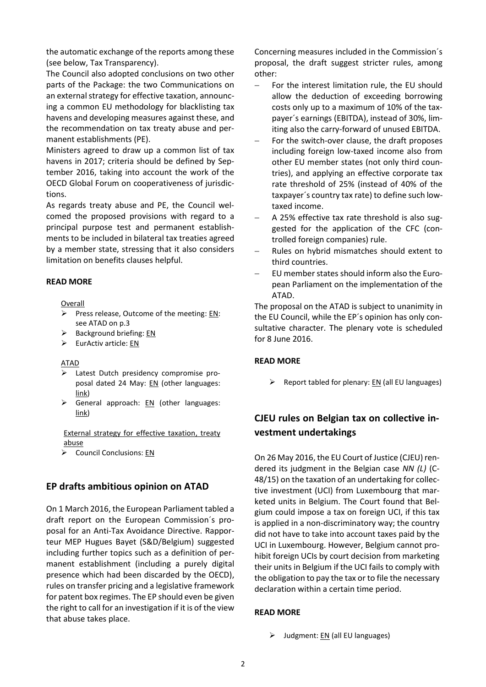the automatic exchange of the reports among these (see below, Tax Transparency).

The Council also adopted conclusions on two other parts of the Package: the two Communications on an external strategy for effective taxation, announcing a common EU methodology for blacklisting tax havens and developing measures against these, and the recommendation on tax treaty abuse and permanent establishments (PE).

Ministers agreed to draw up a common list of tax havens in 2017; criteria should be defined by September 2016, taking into account the work of the OECD Global Forum on cooperativeness of jurisdictions.

As regards treaty abuse and PE, the Council welcomed the proposed provisions with regard to a principal purpose test and permanent establishments to be included in bilateral tax treaties agreed by a member state, stressing that it also considers limitation on benefits clauses helpful.

#### **READ MORE**

Overall

- Press release, Outcome of the meeting: [EN:](http://www.consilium.europa.eu/en/meetings/ecofin/2016/05/st09342_en16_pdf/) see ATAD on p.3
- $\triangleright$  Background briefing: [EN](http://www.consilium.europa.eu/en/meetings/ecofin/2016/05/ECOFIN-background-EN_pdf/)
- $\triangleright$  EurActiv article: [EN](http://www.euractiv.com/section/euro-finance/news/member-states-fail-to-reach-deal-to-tackle-company-tax-avoidance/?nl_ref=13689553)

#### ATAD

- Latest Dutch presidency compromise proposal dated 24 May: [EN](http://data.consilium.europa.eu/doc/document/ST-9431-2016-INIT/en/pdf) (other languages: [link\)](http://www.consilium.europa.eu/register/en/content/out/?typ=SET&i=ADV&RESULTSET=1&DOC_ID=9431%2F16&DOS_INTERINST=&DOC_TITLE=&CONTENTS=&DOC_SUBJECT=&DOC_SUBTYPE=&DOC_DATE=&document_date_from_date=&document_date_from_date_submit=&document_date_to_date=&document_date_to_date_submit=&MEET_DATE=&meeting_date_from_date=&meeting_date_from_date_submit=&meeting_date_to_date=&meeting_date_to_date_submit=&DOC_LANCD=EN&ROWSPP=25&NRROWS=500&ORDERBY=DOC_DATE+DESC)
- General approach: [EN](http://data.consilium.europa.eu/doc/document/ST-9432-2016-INIT/en/pdf) (other languages: [link\)](http://www.consilium.europa.eu/register/en/content/out/?typ=SET&i=ADV&RESULTSET=1&DOC_ID=9432%2F16&DOS_INTERINST=&DOC_TITLE=&CONTENTS=&DOC_SUBJECT=&DOC_SUBTYPE=&DOC_DATE=&document_date_from_date=&document_date_from_date_submit=&document_date_to_date=&document_date_to_date_submit=&MEET_DATE=&meeting_date_from_date=&meeting_date_from_date_submit=&meeting_date_to_date=&meeting_date_to_date_submit=&DOC_LANCD=EN&ROWSPP=25&NRROWS=500&ORDERBY=DOC_DATE+DESC)

External strategy for effective taxation, treaty abuse

 $\triangleright$  Council Conclusions: [EN](http://www.consilium.europa.eu/press-releases-pdf/2016/5/47244641250_en_635997888000000000.pdf)

### **EP drafts ambitious opinion on ATAD**

On 1 March 2016, the European Parliament tabled a draft report on the European Commission´s proposal for an Anti-Tax Avoidance Directive. Rapporteur MEP Hugues Bayet (S&D/Belgium) suggested including further topics such as a definition of permanent establishment (including a purely digital presence which had been discarded by the OECD), rules on transfer pricing and a legislative framework for patent box regimes. The EP should even be given the right to call for an investigation if it is of the view that abuse takes place.

Concerning measures included in the Commission´s proposal, the draft suggest stricter rules, among other:

- $-$  For the interest limitation rule, the EU should allow the deduction of exceeding borrowing costs only up to a maximum of 10% of the taxpayer´s earnings (EBITDA), instead of 30%, limiting also the carry-forward of unused EBITDA.
- For the switch-over clause, the draft proposes including foreign low-taxed income also from other EU member states (not only third countries), and applying an effective corporate tax rate threshold of 25% (instead of 40% of the taxpayer´s country tax rate) to define such lowtaxed income.
- A 25% effective tax rate threshold is also suggested for the application of the CFC (controlled foreign companies) rule.
- Rules on hybrid mismatches should extent to third countries.
- EU member states should inform also the European Parliament on the implementation of the ATAD.

The proposal on the ATAD is subject to unanimity in the EU Council, while the EP´s opinion has only consultative character. The plenary vote is scheduled for 8 June 2016.

#### **READ MORE**

 $\triangleright$  Report tabled for plenary[: EN](http://www.europarl.europa.eu/sides/getDoc.do?type=REPORT&mode=XML&reference=A8-2016-0189&language=EN) (all EU languages)

# **CJEU rules on Belgian tax on collective investment undertakings**

On 26 May 2016, the EU Court of Justice (CJEU) rendered its judgment in the Belgian case *NN (L)* (C-48/15) on the taxation of an undertaking for collective investment (UCI) from Luxembourg that marketed units in Belgium. The Court found that Belgium could impose a tax on foreign UCI, if this tax is applied in a non-discriminatory way; the country did not have to take into account taxes paid by the UCI in Luxembourg. However, Belgium cannot prohibit foreign UCIs by court decision from marketing their units in Belgium if the UCI fails to comply with the obligation to pay the tax or to file the necessary declaration within a certain time period.

#### **READ MORE**

 $\triangleright$  Judgment: <u>EN</u> (all EU languages)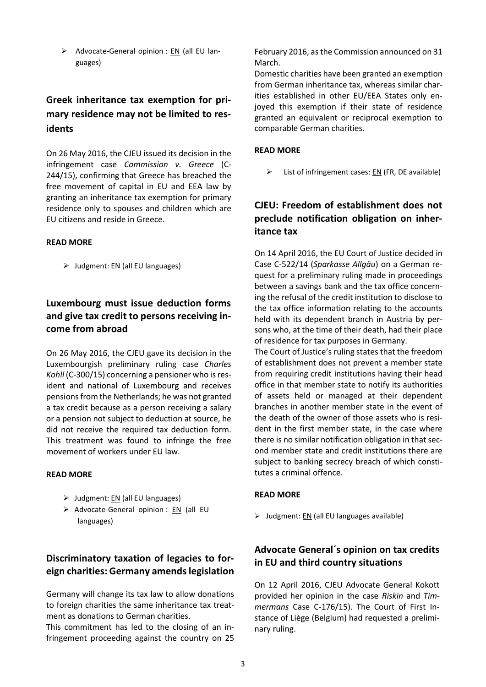Advocate-General opinion :  $EN$  (all EU languages)

# **Greek inheritance tax exemption for primary residence may not be limited to residents**

On 26 May 2016, the CJEU issued its decision in the infringement case *Commission v. Greece* (C-244/15), confirming that Greece has breached the free movement of capital in EU and EEA law by granting an inheritance tax exemption for primary residence only to spouses and children which are EU citizens and reside in Greece.

### **READ MORE**

 $\triangleright$  Judgment: [EN](http://curia.europa.eu/juris/document/document.jsf?text=&docid=178823&pageIndex=0&doclang=EN&mode=lst&dir=&occ=first&part=1&cid=172182) (all EU languages)

# **Luxembourg must issue deduction forms and give tax credit to persons receiving income from abroad**

On 26 May 2016, the CJEU gave its decision in the Luxembourgish preliminary ruling case *Charles Kohll* (C-300/15) concerning a pensioner who is resident and national of Luxembourg and receives pensions from the Netherlands; he was not granted a tax credit because as a person receiving a salary or a pension not subject to deduction at source, he did not receive the required tax deduction form. This treatment was found to infringe the free movement of workers under EU law.

#### **READ MORE**

- $\triangleright$  Judgment: [EN](http://curia.europa.eu/juris/document/document.jsf?text=&docid=178831&pageIndex=0&doclang=EN&mode=lst&dir=&occ=first&part=1&cid=174448) (all EU languages)
- Advocate-General opinion :  $EN$  (all EU languages)

# **Discriminatory taxation of legacies to foreign charities: Germany amends legislation**

Germany will change its tax law to allow donations to foreign charities the same inheritance tax treatment as donations to German charities.

This commitment has led to the closing of an infringement proceeding against the country on 25 February 2016, as the Commission announced on 31 March.

Domestic charities have been granted an exemption from German inheritance tax, whereas similar charities established in other EU/EEA States only enjoyed this exemption if their state of residence granted an equivalent or reciprocal exemption to comparable German charities.

### **READ MORE**

 $\triangleright$  List of infringement cases: [EN](http://ec.europa.eu/taxation_customs/common/infringements/infringement_cases/bycountry/index_en.htm#donations) (FR, DE available)

# **CJEU: Freedom of establishment does not preclude notification obligation on inheritance tax**

On 14 April 2016, the EU Court of Justice decided in Case C-522/14 (*Sparkasse Allgäu*) on a German request for a preliminary ruling made in proceedings between a savings bank and the tax office concerning the refusal of the credit institution to disclose to the tax office information relating to the accounts held with its dependent branch in Austria by persons who, at the time of their death, had their place of residence for tax purposes in Germany.

The Court of Justice's ruling states that the freedom of establishment does not prevent a member state from requiring credit institutions having their head office in that member state to notify its authorities of assets held or managed at their dependent branches in another member state in the event of the death of the owner of those assets who is resident in the first member state, in the case where there is no similar notification obligation in that second member state and credit institutions there are subject to banking secrecy breach of which constitutes a criminal offence.

### **READ MORE**

 $\triangleright$  Judgment: EN [\(all EU languages available\)](http://curia.europa.eu/juris/document/document.jsf?text=&docid=176343&pageIndex=0&doclang=EN&mode=req&dir=&occ=first&part=1&cid=100128)

# **Advocate General´s opinion on tax credits in EU and third country situations**

On 12 April 2016, CJEU Advocate General Kokott provided her opinion in the case *Riskin* and *Timmermans* Case C-176/15). The Court of First Instance of Liège (Belgium) had requested a preliminary ruling.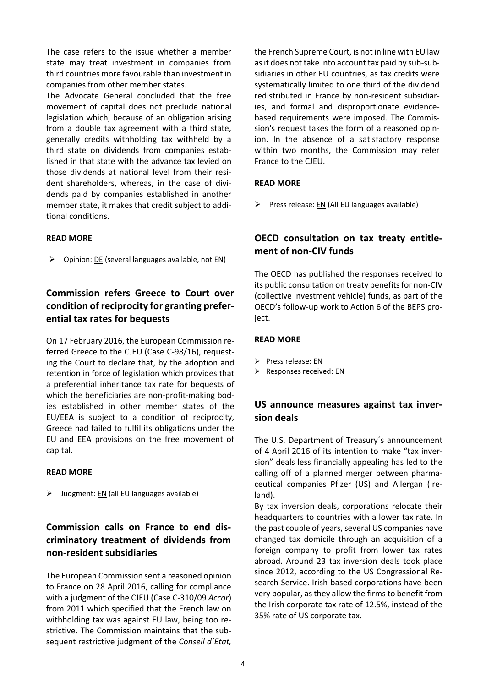The case refers to the issue whether a member state may treat investment in companies from third countries more favourable than investment in companies from other member states.

The Advocate General concluded that the free movement of capital does not preclude national legislation which, because of an obligation arising from a double tax agreement with a third state, generally credits withholding tax withheld by a third state on dividends from companies established in that state with the advance tax levied on those dividends at national level from their resident shareholders, whereas, in the case of dividends paid by companies established in another member state, it makes that credit subject to additional conditions.

### **READ MORE**

 $\triangleright$  Opinion: <u>DE</u> [\(several languages available, not EN\)](http://curia.europa.eu/juris/document/document.jsf?text=&docid=176141&pageIndex=0&doclang=DE&mode=lst&dir=&occ=first&part=1&cid=134807)

# **Commission refers Greece to Court over condition of reciprocity for granting preferential tax rates for bequests**

On 17 February 2016, the European Commission referred Greece to the CJEU (Case C-98/16), requesting the Court to declare that, by the adoption and retention in force of legislation which provides that a preferential inheritance tax rate for bequests of which the beneficiaries are non-profit-making bodies established in other member states of the EU/EEA is subject to a condition of reciprocity, Greece had failed to fulfil its obligations under the EU and EEA provisions on the free movement of capital.

### **READ MORE**

 $\triangleright$  Judgment[: EN](http://curia.europa.eu/juris/document/document.jsf;jsessionid=9ea7d2dc30d53da125b41d3248c58428882b671709b5.e34KaxiLc3qMb40Rch0SaxuSchj0?text=&docid=177007&pageIndex=0&doclang=en&mode=doc&dir=&occ=first&cid=540319) (all EU [languages](http://eur-lex.europa.eu/legal-content/EN/TXT/?uri=CELEX:62016CN0098) available)

# **Commission calls on France to end discriminatory treatment of dividends from non-resident subsidiaries**

The European Commission sent a reasoned opinion to France on 28 April 2016, calling for compliance with a judgment of the CJEU (Case C-310/09 *Accor*) from 2011 which specified that the French law on withholding tax was against EU law, being too restrictive. The Commission maintains that the subsequent restrictive judgment of the *Conseil d´Etat,* 

the French Supreme Court, is not in line with EU law as it does not take into account tax paid by sub-subsidiaries in other EU countries, as tax credits were systematically limited to one third of the dividend redistributed in France by non-resident subsidiaries, and formal and disproportionate evidencebased requirements were imposed. The Commission's request takes the form of a reasoned opinion. In the absence of a satisfactory response within two months, the Commission may refer France to the CJEU.

### **READ MORE**

 $\triangleright$  Press release: [EN](http://europa.eu/rapid/press-release_MEMO-16-1452_en.htm) (All EU languages available)

# **OECD consultation on tax treaty entitlement of non-CIV funds**

The OECD has published the responses received to its public consultation on treaty benefits for non-CIV (collective investment vehicle) funds, as part of the OECD's follow-up work to Action 6 of the BEPS proiect.

### **READ MORE**

- $\triangleright$  Press release: [EN](http://www.oecd.org/tax/treaties/beps-consultation-treaty-entitlement-non-civ-funds.htm)
- $\triangleright$  Responses received: [EN](http://www.oecd.org/ctp/treaties/public-comments-received-discussion-draft-treaty-entitlement-of-non-CIV-funds.pdf)

# **US announce measures against tax inversion deals**

The U.S. Department of Treasury´s announcement of 4 April 2016 of its intention to make "tax inversion" deals less financially appealing has led to the calling off of a planned merger between pharmaceutical companies Pfizer (US) and Allergan (Ireland).

By tax inversion deals, corporations relocate their headquarters to countries with a lower tax rate. In the past couple of years, several US companies have changed tax domicile through an acquisition of a foreign company to profit from lower tax rates abroad. Around 23 tax inversion deals took place since 2012, according to the US Congressional Research Service. Irish-based corporations have been very popular, as they allow the firms to benefit from the Irish corporate tax rate of 12.5%, instead of the 35% rate of US corporate tax.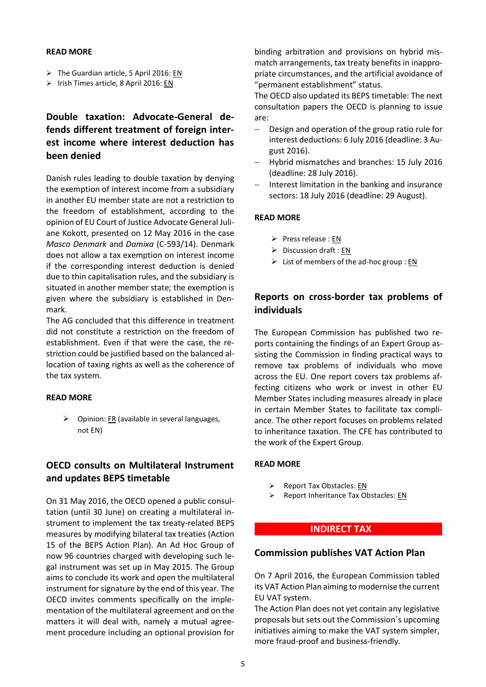#### **READ MORE**

- $\triangleright$  The Guardian article, 5 April 2016: [EN](http://www.theguardian.com/business/2016/apr/05/pfizer-allergan-merger-tax-avoidance-rules)
- $\triangleright$  Irish Times article, 8 April 2016: [EN](http://www.irishtimes.com/business/economy/collapse-of-pfizer-allergan-deal-will-be-mourned-by-few-1.2602461)

# **Double taxation: Advocate-General defends different treatment of foreign interest income where interest deduction has been denied**

Danish rules leading to double taxation by denying the exemption of interest income from a subsidiary in another EU member state are not a restriction to the freedom of establishment, according to the opinion of EU Court of Justice Advocate General Juliane Kokott, presented on 12 May 2016 in the case *Masco Denmark* and *Damixa* (C-593/14). Denmark does not allow a tax exemption on interest income if the corresponding interest deduction is denied due to thin capitalisation rules, and the subsidiary is situated in another member state; the exemption is given where the subsidiary is established in Denmark.

The AG concluded that this difference in treatment did not constitute a restriction on the freedom of establishment. Even if that were the case, the restriction could be justified based on the balanced allocation of taxing rights as well as the coherence of the tax system.

### **READ MORE**

 $\triangleright$  Opinion: [FR](http://curia.europa.eu/juris/document/document.jsf?text=&docid=178082&pageIndex=0&doclang=FR&mode=lst&dir=&occ=first&part=1&cid=556652) (available in several languages, not EN)

## **OECD consults on Multilateral Instrument and updates BEPS timetable**

On 31 May 2016, the OECD opened a public consultation (until 30 June) on creating a multilateral instrument to implement the tax treaty-related BEPS measures by modifying bilateral tax treaties (Action 15 of the BEPS Action Plan). An Ad Hoc Group of now 96 countries charged with developing such legal instrument was set up in May 2015. The Group aims to conclude its work and open the multilateral instrument for signature by the end of this year. The OECD invites comments specifically on the implementation of the multilateral agreement and on the matters it will deal with, namely a mutual agreement procedure including an optional provision for

binding arbitration and provisions on hybrid mismatch arrangements, tax treaty benefits in inappropriate circumstances, and the artificial avoidance of "permanent establishment" status.

The OECD also updated its BEPS timetable: The next consultation papers the OECD is planning to issue are:

- Design and operation of the group ratio rule for interest deductions: 6 July 2016 (deadline: 3 August 2016).
- Hybrid mismatches and branches: 15 July 2016 (deadline: 28 July 2016).
- $-$  Interest limitation in the banking and insurance sectors: 18 July 2016 (deadline: 29 August).

### **READ MORE**

- $\triangleright$  Press release : [EN](http://www.oecd.org/tax/treaties/discussion-draft-beps-multilateral-instrument.htm)
- $\triangleright$  Discussion draft [: EN](http://www.oecd.org/tax/treaties/BEPS-Discussion-draft-Multilateral-Instrument.pdf)
- $\triangleright$  List of members of the ad-hoc group : [EN](http://www.oecd.org/ctp/beps/multilateral-instrument-for-beps-tax-treaty-measures-the-ad-hoc-group.htm)

## **Reports on cross-border tax problems of individuals**

The European Commission has published two reports containing the findings of an Expert Group assisting the Commission in finding practical ways to remove tax problems of individuals who move across the EU. One report covers tax problems affecting citizens who work or invest in other EU Member States including measures already in place in certain Member States to facilitate tax compliance. The other report focuses on problems related to inheritance taxation. The CFE has contributed to the work of the Expert Group.

#### **READ MORE**

- ▶ Report Tax Obstacles: [EN](http://bookshop.europa.eu/en/ways-to-tackle-cross-border-tax-obstacles-facing-individuals-within-the-eu-pbKP0115918/)
- $\triangleright$  Report Inheritance Tax Obstacles: [EN](http://bookshop.europa.eu/en/ways-to-tackle-inheritance-cross-border-tax-obstacles-facing-individuals-within-the-eu-pbKP0415905/?CatalogCategoryID=dnkKABstlNQAAAEjLpEY4e5L)

### **\_\_\_\_\_\_\_\_\_\_ \_INDIRECT TAX \_\_\_\_\_\_\_\_\_\_\_\_\_**

### **Commission publishes VAT Action Plan**

On 7 April 2016, the European Commission tabled its VAT Action Plan aiming to modernise the current EU VAT system.

The Action Plan does not yet contain any legislative proposals but sets out the Commission´s upcoming initiatives aiming to make the VAT system simpler, more fraud-proof and business-friendly.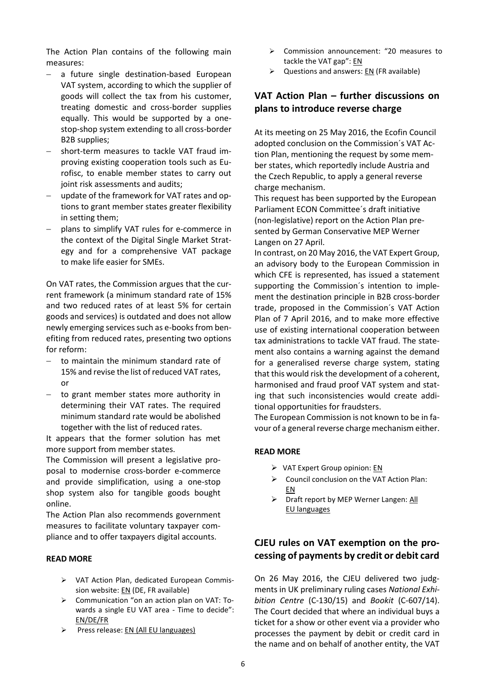The Action Plan contains of the following main measures:

- a future single destination-based European VAT system, according to which the supplier of goods will collect the tax from his customer, treating domestic and cross-border supplies equally. This would be supported by a onestop-shop system extending to all cross-border B2B supplies;
- short-term measures to tackle VAT fraud improving existing cooperation tools such as Eurofisc, to enable member states to carry out joint risk assessments and audits;
- update of the framework for VAT rates and options to grant member states greater flexibility in setting them;
- plans to simplify VAT rules for e-commerce in the context of the Digital Single Market Strategy and for a comprehensive VAT package to make life easier for SMEs.

On VAT rates, the Commission argues that the current framework (a minimum standard rate of 15% and two reduced rates of at least 5% for certain goods and services) is outdated and does not allow newly emerging services such as e-books from benefiting from reduced rates, presenting two options for reform:

- $-$  to maintain the minimum standard rate of 15% and revise the list of reduced VAT rates, or
- $-$  to grant member states more authority in determining their VAT rates. The required minimum standard rate would be abolished together with the list of reduced rates.

It appears that the former solution has met more support from member states.

The Commission will present a legislative proposal to modernise cross-border e-commerce and provide simplification, using a one-stop shop system also for tangible goods bought online.

The Action Plan also recommends government measures to facilitate voluntary taxpayer compliance and to offer taxpayers digital accounts.

### **READ MORE**

- VAT Action Plan, dedicated European Commission website[: EN](http://ec.europa.eu/taxation_customs/taxation/vat/action_plan/index_en.htm) (DE, FR available)
- $\triangleright$  Communication "on an action plan on VAT: Towards a single EU VAT area - Time to decide": [EN/DE/FR](http://ec.europa.eu/taxation_customs/resources/documents/taxation/vat/action_plan/com_2016_148_xx.pdf)
- Press release: [EN](http://europa.eu/rapid/press-release_IP-16-1022_en.htm) (All EU languages)
- Commission announcement: "20 measures to tackle the VAT gap": [EN](http://ec.europa.eu/taxation_customs/resources/documents/taxation/tax_cooperation/vat_gap/2016-03_20_measures_en.pdf)
- $\triangleright$  Questions and answers: [EN](http://europa.eu/rapid/press-release_MEMO-16-1024_en.htm) (FR available)

## **VAT Action Plan – further discussions on plans to introduce reverse charge**

At its meeting on 25 May 2016, the Ecofin Council adopted conclusion on the Commission´s VAT Action Plan, mentioning the request by some member states, which reportedly include Austria and the Czech Republic, to apply a general reverse charge mechanism.

This request has been supported by the European Parliament ECON Committee´s draft initiative (non-legislative) report on the Action Plan presented by German Conservative MEP Werner Langen on 27 April.

In contrast, on 20 May 2016, the VAT Expert Group, an advisory body to the European Commission in which CFE is represented, has issued a statement supporting the Commission´s intention to implement the destination principle in B2B cross-border trade, proposed in the Commission´s VAT Action Plan of 7 April 2016, and to make more effective use of existing international cooperation between tax administrations to tackle VAT fraud. The statement also contains a warning against the demand for a generalised reverse charge system, stating that this would risk the development of a coherent, harmonised and fraud proof VAT system and stating that such inconsistencies would create additional opportunities for fraudsters.

The European Commission is not known to be in favour of a general reverse charge mechanism either.

### **READ MORE**

- $\triangleright$  VAT Expert Group opinion: [EN](http://ec.europa.eu/taxation_customs/resources/documents/taxation/vat/key_documents/expert_group/opinion_action_plan_en.pdf)
- $\triangleright$  Council conclusion on the VAT Action Plan: [EN](http://www.consilium.europa.eu/en/press/press-releases/2016/05/25-conclusions-vat-action-plan/)
- $\triangleright$  Draft report by MEP Werner Langen: All [EU languages](http://www.europarl.europa.eu/sides/getDoc.do?type=COMPARL&mode=XML&language=EN&reference=PE582.077)

## **CJEU rules on VAT exemption on the processing of payments by credit or debit card**

On 26 May 2016, the CJEU delivered two judgments in UK preliminary ruling cases *National Exhibition Centre* (C-130/15) and *Bookit* (C-607/14). The Court decided that where an individual buys a ticket for a show or other event via a provider who processes the payment by debit or credit card in the name and on behalf of another entity, the VAT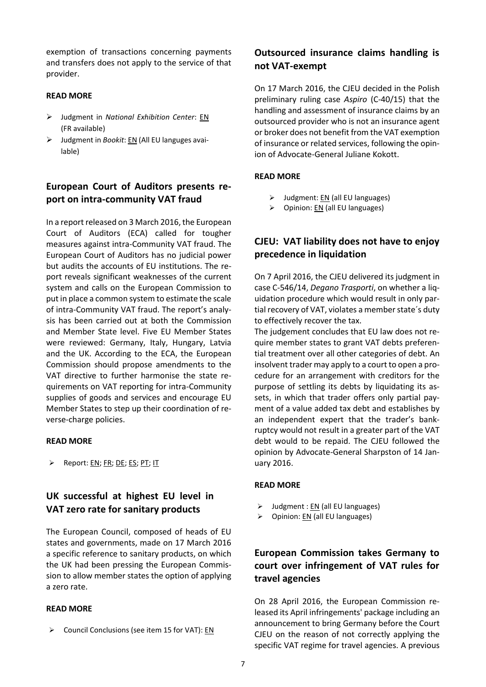exemption of transactions concerning payments and transfers does not apply to the service of that provider.

### **READ MORE**

- Judgment in *National Exhibition Center*: [EN](http://curia.europa.eu/juris/document/document.jsf?text=&docid=178832&pageIndex=0&doclang=EN&mode=lst&dir=&occ=first&part=1&cid=176151) (FR available)
- Judgment in *Bookit*[: EN](http://curia.europa.eu/juris/document/document.jsf?text=&docid=178828&pageIndex=0&doclang=en&mode=lst&dir=&occ=first&part=1&cid=179978) (All EU languges available)

## **European Court of Auditors presents report on intra-community VAT fraud**

In a report released on 3 March 2016, the European Court of Auditors (ECA) called for tougher measures against intra-Community VAT fraud. The European Court of Auditors has no judicial power but audits the accounts of EU institutions. The report reveals significant weaknesses of the current system and calls on the European Commission to put in place a common system to estimate the scale of intra-Community VAT fraud. The report's analysis has been carried out at both the Commission and Member State level. Five EU Member States were reviewed: Germany, Italy, Hungary, Latvia and the UK. According to the ECA, the European Commission should propose amendments to the VAT directive to further harmonise the state requirements on VAT reporting for intra-Community supplies of goods and services and encourage EU Member States to step up their coordination of reverse-charge policies.

#### **READ MORE**

Report: <u>EN</u>; <u>FR; [DE;](http://www.eca.europa.eu/Lists/ECADocuments/INSR15_24/INSR_VAT_FRAUD_DE.pdf) ES</u>; <u>PT</u>; [IT](http://www.eca.europa.eu/Lists/ECADocuments/INSR15_24/INSR_VAT_FRAUD_it.pdf)

## **UK successful at highest EU level in VAT zero rate for sanitary products**

The European Council, composed of heads of EU states and governments, made on 17 March 2016 a specific reference to sanitary products, on which the UK had been pressing the European Commission to allow member states the option of applying a zero rate.

#### **READ MORE**

Council Conclusions (see item 15 for VAT): [EN](http://data.consilium.europa.eu/doc/document/ST-12-2016-REV-1/en/pdf)

## **Outsourced insurance claims handling is not VAT-exempt**

On 17 March 2016, the CJEU decided in the Polish preliminary ruling case *Aspiro* (C-40/15) that the handling and assessment of insurance claims by an outsourced provider who is not an insurance agent or broker does not benefit from the VAT exemption of insurance or related services, following the opinion of Advocate-General Juliane Kokott.

### **READ MORE**

- $\triangleright$  Judgment[: EN](http://curia.europa.eu/juris/document/document.jsf?text=&docid=175157&pageIndex=0&doclang=EN&mode=lst&dir=&occ=first&part=1&cid=193335) (all EU languages)
- $\triangleright$  Opinion: [EN](http://curia.europa.eu/juris/document/document.jsf?text=&docid=173245&pageIndex=0&doclang=EN&mode=lst&dir=&occ=first&part=1&cid=193335) (all EU languages)

## **CJEU: VAT liability does not have to enjoy precedence in liquidation**

On 7 April 2016, the CJEU delivered its judgment in case C-546/14, *Degano Trasporti*, on whether a liquidation procedure which would result in only partial recovery of VAT, violates a member state´s duty to effectively recover the tax.

The judgement concludes that EU law does not require member states to grant VAT debts preferential treatment over all other categories of debt. An insolvent trader may apply to a court to open a procedure for an arrangement with creditors for the purpose of settling its debts by liquidating its assets, in which that trader offers only partial payment of a value added tax debt and establishes by an independent expert that the trader's bankruptcy would not result in a greater part of the VAT debt would to be repaid. The CJEU followed the opinion by Advocate-General Sharpston of 14 January 2016.

#### **READ MORE**

- $\triangleright$  Judgment : [EN](http://curia.europa.eu/juris/document/document.jsf?text=&docid=175670&pageIndex=0&doclang=EN&mode=lst&dir=&occ=first&part=1&cid=212236) (all EU languages)
- $\triangleright$  Opinion: <u>EN</u> (all EU languages)

## **European Commission takes Germany to court over infringement of VAT rules for travel agencies**

On 28 April 2016, the European Commission released its April infringements' package including an announcement to bring Germany before the Court CJEU on the reason of not correctly applying the specific VAT regime for travel agencies. A previous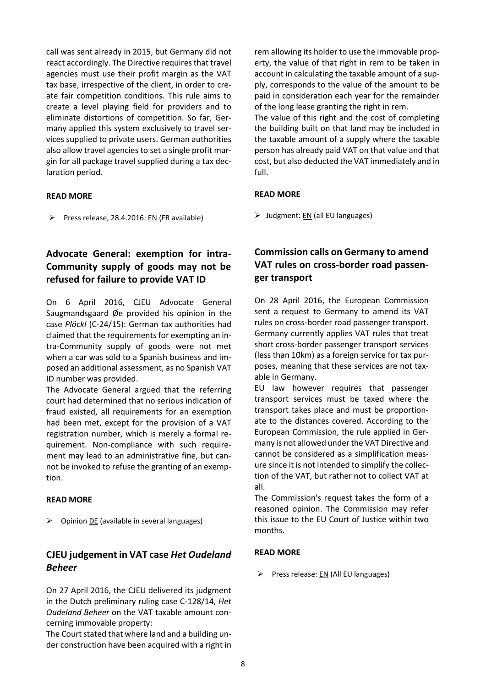call was sent already in 2015, but Germany did not react accordingly. The Directive requires that travel agencies must use their profit margin as the VAT tax base, irrespective of the client, in order to create fair competition conditions. This rule aims to create a level playing field for providers and to eliminate distortions of competition. So far, Germany applied this system exclusively to travel services supplied to private users. German authorities also allow travel agencies to set a single profit margin for all package travel supplied during a tax declaration period.

### **READ MORE**

Press release, 28.4.2016: [EN](http://europa.eu/rapid/press-release_IP-16-1461_en.htm) (FR available)

# **Advocate General: exemption for intra-Community supply of goods may not be refused for failure to provide VAT ID**

On 6 April 2016, CJEU Advocate General Saugmandsgaard Øe provided his opinion in the case *Plöckl* (C-24/15): German tax authorities had claimed that the requirements for exempting an intra-Community supply of goods were not met when a car was sold to a Spanish business and imposed an additional assessment, as no Spanish VAT ID number was provided.

The Advocate General argued that the referring court had determined that no serious indication of fraud existed, all requirements for an exemption had been met, except for the provision of a VAT registration number, which is merely a formal requirement. Non-compliance with such requirement may lead to an administrative fine, but cannot be invoked to refuse the granting of an exemption.

### **READ MORE**

 $\triangleright$  Opinion [DE](http://curia.europa.eu/juris/document/document.jsf?text=&docid=175581&pageIndex=0&doclang=DE&mode=lst&dir=&occ=first&part=1&cid=231875) (available in several languages)

# **CJEU judgement in VAT case** *Het Oudeland Beheer*

On 27 April 2016, the CJEU delivered its judgment in the Dutch preliminary ruling case C-128/14, *Het Oudeland Beheer* on the VAT taxable amount concerning immovable property:

The Court stated that where land and a building under construction have been acquired with a right in rem allowing its holder to use the immovable property, the value of that right in rem to be taken in account in calculating the taxable amount of a supply, corresponds to the value of the amount to be paid in consideration each year for the remainder of the long lease granting the right in rem.

The value of this right and the cost of completing the building built on that land may be included in the taxable amount of a supply where the taxable person has already paid VAT on that value and that cost, but also deducted the VAT immediately and in full.

### **READ MORE**

 $\triangleright$  Judgment: [EN](http://curia.europa.eu/juris/document/document.jsf?text=&docid=177350&pageIndex=0&doclang=en&mode=req&dir=&occ=first&part=1&cid=781271) (all EU languages)

# **Commission calls on Germany to amend VAT rules on cross-border road passenger transport**

On 28 April 2016, the European Commission sent a request to Germany to amend its VAT rules on cross-border road passenger transport. Germany currently applies VAT rules that treat short cross-border passenger transport services (less than 10km) as a foreign service for tax purposes, meaning that these services are not taxable in Germany.

EU law however requires that passenger transport services must be taxed where the transport takes place and must be proportionate to the distances covered. According to the European Commission, the rule applied in Germany is not allowed under the VAT Directive and cannot be considered as a simplification measure since it is not intended to simplify the collection of the VAT, but rather not to collect VAT at all.

The Commission's request takes the form of a reasoned opinion. The Commission may refer this issue to the EU Court of Justice within two months.

### **READ MORE**

Press release:  $EN$  (All EU languages)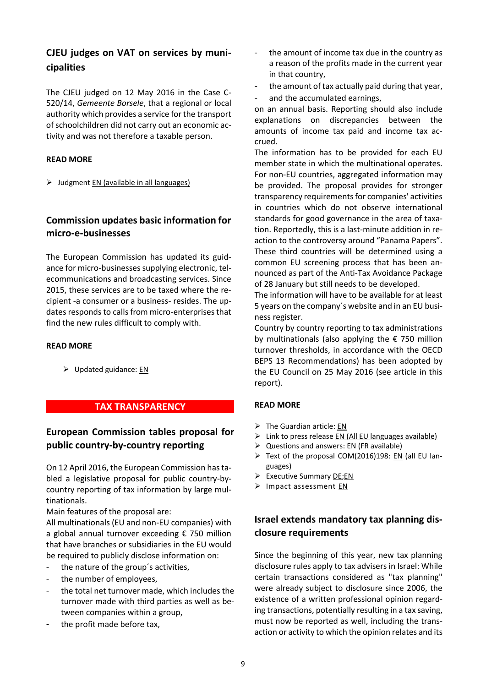# **CJEU judges on VAT on services by municipalities**

The CJEU judged on 12 May 2016 in the Case C-520/14, *Gemeente Borsele*, that a regional or local authority which provides a service for the transport of schoolchildren did not carry out an economic activity and was not therefore a taxable person.

### **READ MORE**

 $\triangleright$  Judgment [EN \(available in all languages\)](http://curia.europa.eu/juris/document/document.jsf?text=&docid=178162&pageIndex=0&doclang=en&mode=req&dir=&occ=first&part=1&cid=765714)

## **Commission updates basic information for micro-e-businesses**

The European Commission has updated its guidance for micro-businesses supplying electronic, telecommunications and broadcasting services. Since 2015, these services are to be taxed where the recipient -a consumer or a business- resides. The updates responds to calls from micro-enterprises that find the new rules difficult to comply with.

### **READ MORE**

 $\triangleright$  Updated guidance[: EN](http://ec.europa.eu/taxation_customs/resources/documents/taxation/vat/how_vat_works/telecom/information_microbusinesses_euvat_2015.pdf)

## **\_\_ \_\_TAX TRANSPARENCY \_\_\_ \_\_\_\_\_**

# **European Commission tables proposal for public country-by-country reporting**

On 12 April 2016, the European Commission has tabled a legislative proposal for public country-bycountry reporting of tax information by large multinationals.

Main features of the proposal are:

All multinationals (EU and non-EU companies) with a global annual turnover exceeding € 750 million that have branches or subsidiaries in the EU would be required to publicly disclose information on:

- the nature of the group's activities,
- the number of employees,
- the total net turnover made, which includes the turnover made with third parties as well as between companies within a group,
- the profit made before tax,
- the amount of income tax due in the country as a reason of the profits made in the current year in that country,
- the amount of tax actually paid during that year,
- and the accumulated earnings,

on an annual basis. Reporting should also include explanations on discrepancies between the amounts of income tax paid and income tax accrued.

The information has to be provided for each EU member state in which the multinational operates. For non-EU countries, aggregated information may be provided. The proposal provides for stronger transparency requirements for companies' activities in countries which do not observe international standards for good governance in the area of taxation. Reportedly, this is a last-minute addition in reaction to the controversy around "Panama Papers". These third countries will be determined using a common EU screening process that has been announced as part of the Anti-Tax Avoidance Package of 28 January but still needs to be developed.

The information will have to be available for at least 5 years on the company´s website and in an EU business register.

Country by country reporting to tax administrations by multinationals (also applying the € 750 million turnover thresholds, in accordance with the OECD BEPS 13 Recommendations) has been adopted by the EU Council on 25 May 2016 (see article in this report).

### **READ MORE**

- $\triangleright$  The Guardian article[: EN](http://www.theguardian.com/business/2016/apr/12/brussels-pressures-multinationals-to-declare-taxes-and-profits?CMP=share_btn_tw)
- $\triangleright$  Link to press release EN (All EU [languages](http://europa.eu/rapid/press-release_IP-16-1349_en.htm?locale=en) available)
- $\triangleright$  Questions and answers: EN [\(FR](http://europa.eu/rapid/press-release_MEMO-16-1351_en.htm?locale=en) available)
- ▶ Text of the proposal COM(2016)198: [EN](http://eur-lex.europa.eu/legal-content/EN/TXT/?uri=CELEX:52016PC0198) (all EU languages)
- $\triangleright$  Executive Summary [DE](http://ec.europa.eu/finance/company-reporting/docs/country-by-country-reporting/160412-summary-impact-assessment_de.pdf); EN
- > Impact assessment [EN](http://ec.europa.eu/finance/company-reporting/docs/country-by-country-reporting/160412-impact-assessment_en.pdf)

# **Israel extends mandatory tax planning disclosure requirements**

Since the beginning of this year, new tax planning disclosure rules apply to tax advisers in Israel: While certain transactions considered as "tax planning" were already subject to disclosure since 2006, the existence of a written professional opinion regarding transactions, potentially resulting in a tax saving, must now be reported as well, including the transaction or activity to which the opinion relates and its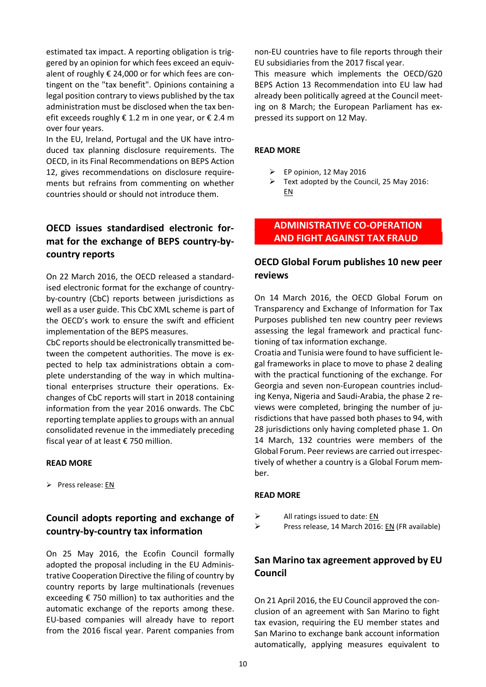estimated tax impact. A reporting obligation is triggered by an opinion for which fees exceed an equivalent of roughly € 24,000 or for which fees are contingent on the "tax benefit". Opinions containing a legal position contrary to views published by the tax administration must be disclosed when the tax benefit exceeds roughly  $\epsilon$  1.2 m in one year, or  $\epsilon$  2.4 m over four years.

In the EU, Ireland, Portugal and the UK have introduced tax planning disclosure requirements. The OECD, in its Final Recommendations on BEPS Action 12, gives recommendations on disclosure requirements but refrains from commenting on whether countries should or should not introduce them.

# **OECD issues standardised electronic format for the exchange of BEPS country-bycountry reports**

On 22 March 2016, the OECD released a standardised electronic format for the exchange of countryby-country (CbC) reports between jurisdictions as well as a user guide. This CbC XML scheme is part of the OECD's work to ensure the swift and efficient implementation of the BEPS measures.

CbC reports should be electronically transmitted between the competent authorities. The move is expected to help tax administrations obtain a complete understanding of the way in which multinational enterprises structure their operations. Exchanges of CbC reports will start in 2018 containing information from the year 2016 onwards. The CbC reporting template applies to groups with an annual consolidated revenue in the immediately preceding fiscal year of at least € 750 million.

#### **READ MORE**

 $\triangleright$  Press release: [EN](http://www.oecd.org/fr/fiscalite/oecd-releases-standardised-electronic-format-for-the-exchange-of-beps-country-by-country-reports.htm)

# **Council adopts reporting and exchange of country-by-country tax information**

On 25 May 2016, the Ecofin Council formally adopted the proposal including in the EU Administrative Cooperation Directive the filing of country by country reports by large multinationals (revenues exceeding € 750 million) to tax authorities and the automatic exchange of the reports among these. EU-based companies will already have to report from the 2016 fiscal year. Parent companies from

non-EU countries have to file reports through their EU subsidiaries from the 2017 fiscal year.

This measure which implements the OECD/G20 BEPS Action 13 Recommendation into EU law had already been politically agreed at the Council meeting on 8 March; the European Parliament has expressed its support on 12 May.

#### **READ MORE**

- $\triangleright$  EP opinion, 12 May 2016
- $\triangleright$  Text adopted by the Council, 25 May 2016: [EN](http://data.consilium.europa.eu/doc/document/ST-7148-2016-INIT/en/pdf)

### **\_\_\_\_ADMINISTRATIVE CO-OPERATION\_\_\_\_ \_\_\_\_AND FIGHT AGAINST TAX FRAUD \_\_\_**

## **OECD Global Forum publishes 10 new peer reviews**

On 14 March 2016, the OECD Global Forum on Transparency and Exchange of Information for Tax Purposes published ten new country peer reviews assessing the legal framework and practical functioning of tax information exchange.

Croatia and Tunisia were found to have sufficient legal frameworks in place to move to phase 2 dealing with the practical functioning of the exchange. For Georgia and seven non-European countries including Kenya, Nigeria and Saudi-Arabia, the phase 2 reviews were completed, bringing the number of jurisdictions that have passed both phases to 94, with 28 jurisdictions only having completed phase 1. On 14 March, 132 countries were members of the Global Forum. Peer reviews are carried out irrespectively of whether a country is a Global Forum member.

### **READ MORE**

- $\triangleright$  All ratings issued to date[: EN](http://www.oecd.org/tax/transparency/GFratings.pdf)
- $\triangleright$  Press release, 14 March 2016: [EN](http://www.oecd.org/tax/new-global-forum-peer-reviews-highlight-ever-increasing-compliance-with-tax-transparency-standards.htm) (FR available)

### **San Marino tax agreement approved by EU Council**

On 21 April 2016, the EU Council approved the conclusion of an agreement with San Marino to fight tax evasion, requiring the EU member states and San Marino to exchange bank account information automatically, applying measures equivalent to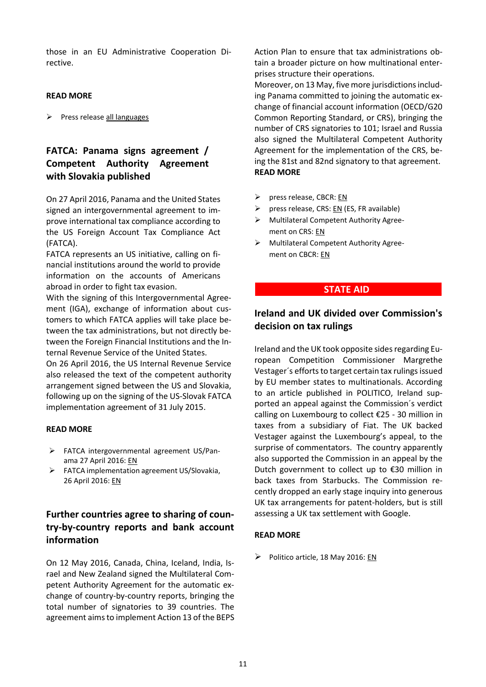those in an EU Administrative Cooperation Directive.

### **READ MORE**

 $\triangleright$  Press release [all languages](http://www.consilium.europa.eu/en/press/press-releases/2015/12/08-ecofin-eu-san-marino-taxation-agreement/)

# **FATCA: Panama signs agreement / Competent Authority Agreement with Slovakia published**

On 27 April 2016, Panama and the United States signed an intergovernmental agreement to improve international tax compliance according to the US Foreign Account Tax Compliance Act (FATCA).

FATCA represents an US initiative, calling on financial institutions around the world to provide information on the accounts of Americans abroad in order to fight tax evasion.

With the signing of this Intergovernmental Agreement (IGA), exchange of information about customers to which FATCA applies will take place between the tax administrations, but not directly between the Foreign Financial Institutions and the Internal Revenue Service of the United States.

On 26 April 2016, the US Internal Revenue Service also released the text of the competent authority arrangement signed between the US and Slovakia, following up on the signing of the US-Slovak FATCA implementation agreement of 31 July 2015.

### **READ MORE**

- FATCA intergovernmental agreement US/Panama 27 April 2016: [EN](https://www.treasury.gov/resource-center/tax-policy/treaties/Documents/FATCA-Agreement-Panama-4-27-2016.pdf)
- FATCA implementation agreement US/Slovakia, 26 April 2016: [EN](https://www.irs.gov/pub/irs-utl/slovakrepublic_competent_authority_arrangement.pdf)

# **Further countries agree to sharing of country-by-country reports and bank account information**

On 12 May 2016, Canada, China, Iceland, India, Israel and New Zealand signed the Multilateral Competent Authority Agreement for the automatic exchange of country-by-country reports, bringing the total number of signatories to 39 countries. The agreement aims to implement Action 13 of the BEPS

Action Plan to ensure that tax administrations obtain a broader picture on how multinational enterprises structure their operations.

Moreover, on 13 May, five more jurisdictions including Panama committed to joining the automatic exchange of financial account information (OECD/G20 Common Reporting Standard, or CRS), bringing the number of CRS signatories to 101; Israel and Russia also signed the Multilateral Competent Authority Agreement for the implementation of the CRS, being the 81st and 82nd signatory to that agreement. **READ MORE**

- $\triangleright$  press release, CBCR: [EN](http://www.oecd.org/tax/a-new-boost-to-transparency-in-international-tax-matters-six-new-countries-sign-agreement-enabling-automatic-sharing-of-country-by-country-reporting.htm)
- P press release, CRS:  $EN$  (ES, FR available)
- Multilateral Competent Authority Agreement on CRS[: EN](http://www.oecd.org/tax/automatic-exchange/international-framework-for-the-crs/?utm_source=Adestra&utm_medium=email&utm_content=CRS%20Multilateral%20Competent%20Authority%20Agreement&utm_campaign=Tax%20News%20Alert%2013-05-2016&utm_term=demo)
- Multilateral Competent Authority Agreement on CBCR: [EN](http://www.oecd.org/tax/automatic-exchange/about-automatic-exchange/cbc-mcaa.pdf)

### **\_\_ \_\_ STATE AID \_ \_\_ \_\_\_\_\_**

## **Ireland and UK divided over Commission's decision on tax rulings**

Ireland and the UK took opposite sides regarding European Competition Commissioner Margrethe Vestager´s efforts to target certain tax rulings issued by EU member states to multinationals. According to an article published in POLITICO, Ireland supported an appeal against the Commission´s verdict calling on Luxembourg to collect €25 - 30 million in taxes from a subsidiary of Fiat. The UK backed Vestager against the Luxembourg's appeal, to the surprise of commentators. The country apparently also supported the Commission in an appeal by the Dutch government to collect up to €30 million in back taxes from Starbucks. The Commission recently dropped an early stage inquiry into generous UK tax arrangements for patent-holders, but is still assessing a UK tax settlement with Google.

### **READ MORE**

 $\triangleright$  Politico article, 18 May 2016: [EN](http://www.politico.eu/pro/ireland-uk-move-against-margrethe-vestager-on-tax-decisions/)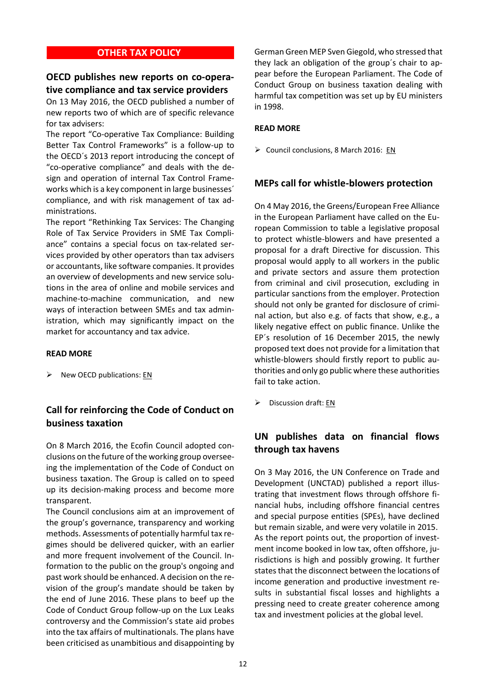### **\_\_ \_\_OTHER TAX POLICY \_ \_\_ \_\_\_\_\_**

## **OECD publishes new reports on co-operative compliance and tax service providers**

On 13 May 2016, the OECD published a number of new reports two of which are of specific relevance for tax advisers:

The report "Co-operative Tax Compliance: Building Better Tax Control Frameworks" is a follow-up to the OECD´s 2013 report introducing the concept of "co-operative compliance" and deals with the design and operation of internal Tax Control Frameworks which is a key component in large businesses´ compliance, and with risk management of tax administrations.

The report "Rethinking Tax Services: The Changing Role of Tax Service Providers in SME Tax Compliance" contains a special focus on tax-related services provided by other operators than tax advisers or accountants, like software companies. It provides an overview of developments and new service solutions in the area of online and mobile services and machine-to-machine communication, and new ways of interaction between SMEs and tax administration, which may significantly impact on the market for accountancy and tax advice.

#### **READ MORE**

 $\triangleright$  New OECD publications: [EN](http://www.oecd.org/tax/forum-on-tax-administration/publications-and-products/#d.en.369266)

## **Call for reinforcing the Code of Conduct on business taxation**

On 8 March 2016, the Ecofin Council adopted conclusions on the future of the working group overseeing the implementation of the Code of Conduct on business taxation. The Group is called on to speed up its decision-making process and become more transparent.

The Council conclusions aim at an improvement of the group's governance, transparency and working methods. Assessments of potentially harmful tax regimes should be delivered quicker, with an earlier and more frequent involvement of the Council. Information to the public on the group's ongoing and past work should be enhanced. A decision on the revision of the group's mandate should be taken by the end of June 2016. These plans to beef up the Code of Conduct Group follow-up on the Lux Leaks controversy and the Commission's state aid probes into the tax affairs of multinationals. The plans have been criticised as unambitious and disappointing by

German Green MEP Sven Giegold, who stressed that they lack an obligation of the group´s chair to appear before the European Parliament. The Code of Conduct Group on business taxation dealing with harmful tax competition was set up by EU ministers in 1998.

#### **READ MORE**

 $\triangleright$  Council conclusions, 8 March 2016: [EN](http://data.consilium.europa.eu/doc/document/ST-6674-2016-INIT/en/pdf)

### **MEPs call for whistle-blowers protection**

On 4 May 2016, the Greens/European Free Alliance in the European Parliament have called on the European Commission to table a legislative proposal to protect whistle-blowers and have presented a proposal for a draft Directive for discussion. This proposal would apply to all workers in the public and private sectors and assure them protection from criminal and civil prosecution, excluding in particular sanctions from the employer. Protection should not only be granted for disclosure of criminal action, but also e.g. of facts that show, e.g., a likely negative effect on public finance. Unlike the EP´s resolution of 16 December 2015, the newly proposed text does not provide for a limitation that whistle-blowers should firstly report to public authorities and only go public where these authorities fail to take action.

Discussion draft[: EN](http://bit.ly/1TI9LhB)

## **UN publishes data on financial flows through tax havens**

On 3 May 2016, the UN Conference on Trade and Development (UNCTAD) published a report illustrating that investment flows through offshore financial hubs, including offshore financial centres and special purpose entities (SPEs), have declined but remain sizable, and were very volatile in 2015. As the report points out, the proportion of investment income booked in low tax, often offshore, jurisdictions is high and possibly growing. It further states that the disconnect between the locations of income generation and productive investment results in substantial fiscal losses and highlights a pressing need to create greater coherence among tax and investment policies at the global level.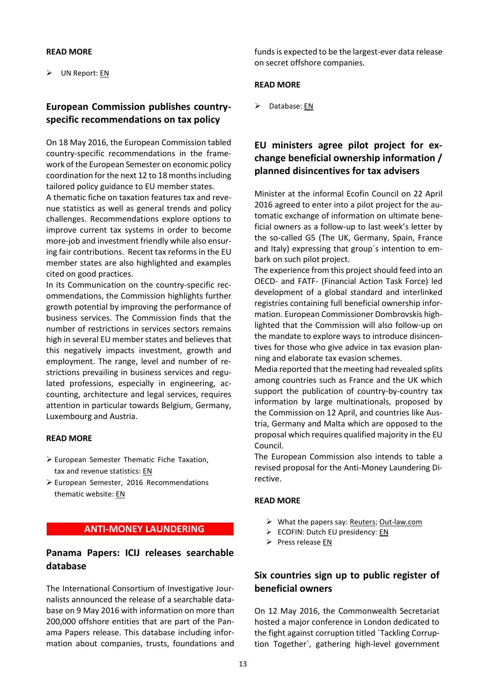### **READ MORE**

UN Report[: EN](http://unctad.org/en/PublicationsLibrary/webdiaeia2016d2_en.pdf)

## **European Commission publishes countryspecific recommendations on tax policy**

On 18 May 2016, the European Commission tabled country-specific recommendations in the framework of the European Semester on economic policy coordination for the next 12 to 18 months including tailored policy guidance to EU member states.

A thematic fiche on taxation features tax and revenue statistics as well as general trends and policy challenges. Recommendations explore options to improve current tax systems in order to become more-job and investment friendly while also ensuring fair contributions. Recent tax reforms in the EU member states are also highlighted and examples cited on good practices.

In its Communication on the country-specific recommendations, the Commission highlights further growth potential by improving the performance of business services. The Commission finds that the number of restrictions in services sectors remains high in several EU member states and believes that this negatively impacts investment, growth and employment. The range, level and number of restrictions prevailing in business services and regulated professions, especially in engineering, accounting, architecture and legal services, requires attention in particular towards Belgium, Germany, Luxembourg and Austria.

#### **READ MORE**

- European Semester Thematic Fiche Taxation, tax and revenue statistics: [EN](http://ec.europa.eu/europe2020/pdf/themes/2016/taxation_201605.pdf)
- European Semester, 2016 Recommendations thematic website: [EN](http://ec.europa.eu/europe2020/making-it-happen/country-specific-recommendations/index_en.htm)

## **\_\_ \_\_ANTI-MONEY LAUNDERING \_\_\_ \_**

### **Panama Papers: ICIJ releases searchable database**

The International Consortium of Investigative Journalists announced the release of a searchable database on 9 May 2016 with information on more than 200,000 offshore entities that are part of the Panama Papers release. This database including information about companies, trusts, foundations and

funds is expected to be the largest-ever data release on secret offshore companies.

### **READ MORE**

 $\triangleright$  Database[: EN](https://offshoreleaks.icij.org/#_ga=1.181783712.608279820.1462786940)

# **EU ministers agree pilot project for exchange beneficial ownership information / planned disincentives for tax advisers**

Minister at the informal Ecofin Council on 22 April 2016 agreed to enter into a pilot project for the automatic exchange of information on ultimate beneficial owners as a follow-up to last week's letter by the so-called G5 (The UK, Germany, Spain, France and Italy) expressing that group´s intention to embark on such pilot project.

The experience from this project should feed into an OECD- and FATF- (Financial Action Task Force) led development of a global standard and interlinked registries containing full beneficial ownership information. European Commissioner Dombrovskis highlighted that the Commission will also follow-up on the mandate to explore ways to introduce disincentives for those who give advice in tax evasion planning and elaborate tax evasion schemes.

Media reported that the meeting had revealed splits among countries such as France and the UK which support the publication of country-by-country tax information by large multinationals, proposed by the Commission on 12 April, and countries like Austria, Germany and Malta which are opposed to the proposal which requires qualified majority in the EU Council.

The European Commission also intends to table a revised proposal for the Anti-Money Laundering Directive.

#### **READ MORE**

- $\triangleright$  What the papers say[: Reuters;](http://mobile.reuters.com/article/idUSKCN0XG28T) [Out-law.com](http://www.out-law.com/en/articles/2016/april/eu-should-increase-transparency-on-ownership-of-companies-and-trusts-says-commissioner/)
- ECOFIN: Dutch EU presidency[: EN](http://english.eu2016.nl/documents/publications/2016/04/22/informal-ecofin---line-to-take-nl-presidency)
- $\triangleright$  Press release [EN](http://europa.eu/rapid/press-release_SPEECH-16-1551_en.htm)

## **Six countries sign up to public register of beneficial owners**

On 12 May 2016, the Commonwealth Secretariat hosted a major conference in London dedicated to the fight against corruption titled `Tackling Corruption Together`, gathering high-level government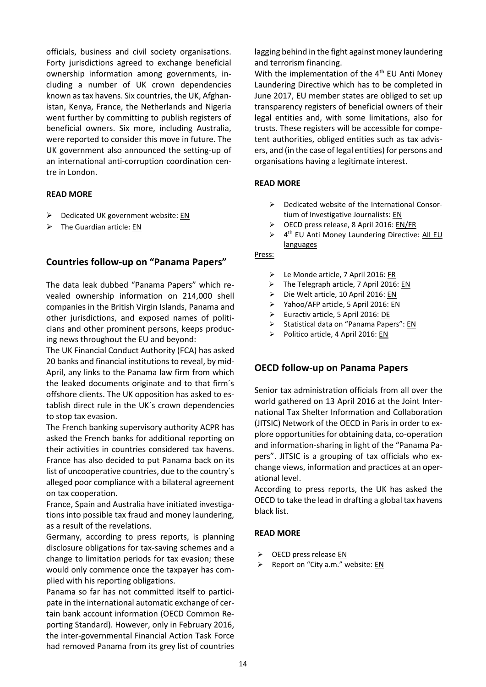officials, business and civil society organisations. Forty jurisdictions agreed to exchange beneficial ownership information among governments, including a number of UK crown dependencies known as tax havens. Six countries, the UK, Afghanistan, Kenya, France, the Netherlands and Nigeria went further by committing to publish registers of beneficial owners. Six more, including Australia, were reported to consider this move in future. The UK government also announced the setting-up of an international anti-corruption coordination centre in London.

### **READ MORE**

- $\triangleright$  Dedicated UK government website: [EN](https://www.gov.uk/government/topical-events/anti-corruption-summit-london-2016)
- $\triangleright$  The Guardian article: [EN](http://www.theguardian.com/politics/live/2016/may/12/david-cameron-london-anti-corruption-summit-live)

### **Countries follow-up on "Panama Papers"**

The data leak dubbed "Panama Papers" which revealed ownership information on 214,000 shell companies in the British Virgin Islands, Panama and other jurisdictions, and exposed names of politicians and other prominent persons, keeps producing news throughout the EU and beyond:

The UK Financial Conduct Authority (FCA) has asked 20 banks and financial institutions to reveal, by mid-April, any links to the Panama law firm from which the leaked documents originate and to that firm´s offshore clients. The UK opposition has asked to establish direct rule in the UK´s crown dependencies to stop tax evasion.

The French banking supervisory authority ACPR has asked the French banks for additional reporting on their activities in countries considered tax havens. France has also decided to put Panama back on its list of uncooperative countries, due to the country´s alleged poor compliance with a bilateral agreement on tax cooperation.

France, Spain and Australia have initiated investigations into possible tax fraud and money laundering, as a result of the revelations.

Germany, according to press reports, is planning disclosure obligations for tax-saving schemes and a change to limitation periods for tax evasion; these would only commence once the taxpayer has complied with his reporting obligations.

Panama so far has not committed itself to participate in the international automatic exchange of certain bank account information (OECD Common Reporting Standard). However, only in February 2016, the inter-governmental Financial Action Task Force had removed Panama from its grey list of countries

lagging behind in the fight against money laundering and terrorism financing.

With the implementation of the 4<sup>th</sup> EU Anti Money Laundering Directive which has to be completed in June 2017, EU member states are obliged to set up transparency registers of beneficial owners of their legal entities and, with some limitations, also for trusts. These registers will be accessible for competent authorities, obliged entities such as tax advisers, and (in the case of legal entities) for persons and organisations having a legitimate interest.

### **READ MORE**

- $\triangleright$  Dedicated website of the International Consortium of Investigative Journalists: [EN](https://panamapapers.icij.org/)
- ▶ OECD press release, 8 April 2016: [EN/FR](http://www.oecd.org/tax/tax-administrations-ready-to-act-on-panama-papers.htm)
- $\blacktriangleright$ 4<sup>th</sup> EU Anti Money Laundering Directive: All EU [languages](http://eur-lex.europa.eu/legal-content/EN/TXT/?uri=CELEX:32015L0849)

#### Press:

- Le Monde article, 7 April 2016: [FR](http://mobile.lemonde.fr/panama-papers/article/2016/04/07/panama-papers-les-banques-francaises-sommees-de-declarer-leurs-activites-offshore_4898119_4890278.html?xtref=http://m.facebook.com)
- > The Telegraph article, 7 April 2016[: EN](http://www.telegraph.co.uk/business/2016/04/07/fca-orders-banks-to-probe-links-to-panama-papers/)
- ▶ Die Welt article, 10 April 2016[: EN](http://www.welt.de/wirtschaft/article154192043/Schaeubles-Zehn-Punkte-Plan-gegen-Steuerhinterzieher.html)
- ▶ Yahoo/AFP article, 5 April 2016: [EN](https://uk.finance.yahoo.com/news/france-put-panama-back-list-141929839.html)
- ▶ Euractiv article, 5 April 2016: [DE](http://www.euractiv.de/section/finanzen-und-wirtschaft/news/frankreich-und-spanien-leiten-ermittlungen-wegen-panama-papers-ein/)
- Statistical data on "Panama Papers":  $EN$
- Politico article, 4 April 2016: [EN](http://www.politico.eu/article/france-spain-us-launch-probes-over-panama-papers/)

### **OECD follow-up on Panama Papers**

Senior tax administration officials from all over the world gathered on 13 April 2016 at the Joint International Tax Shelter Information and Collaboration (JITSIC) Network of the OECD in Paris in order to explore opportunities for obtaining data, co-operation and information-sharing in light of the "Panama Papers". JITSIC is a grouping of tax officials who exchange views, information and practices at an operational level.

According to press reports, the UK has asked the OECD to take the lead in drafting a global tax havens black list.

### **READ MORE**

- $\triangleright$  OECD press release [EN](http://www.oecd.org/tax/tax-administrations-meet-on-panama-papers.htm)
- Report on "City a.m." website: [EN](http://www.cityam.com/238991/panama-papers-george-osborne-calls-for-international-blacklist-of-tax-havens)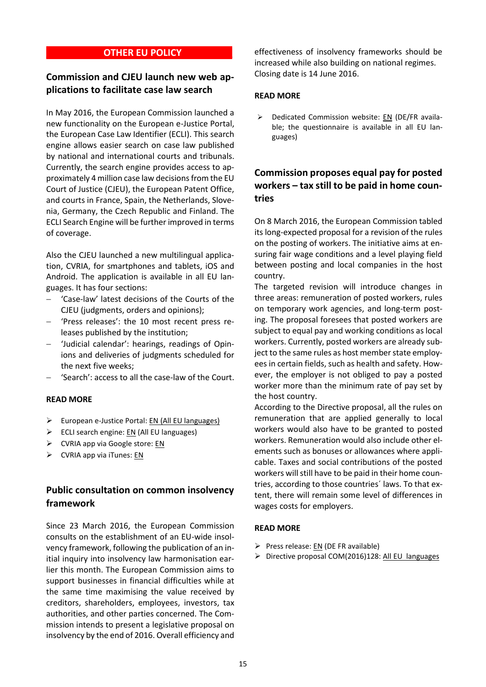### **\_\_ \_\_OTHER EU POLICY \_\_ \_**

## **Commission and CJEU launch new web applications to facilitate case law search**

In May 2016, the European Commission launched a new functionality on the European e-Justice Portal, the European Case Law Identifier (ECLI). This search engine allows easier search on case law published by national and international courts and tribunals. Currently, the search engine provides access to approximately 4 million case law decisions from the EU Court of Justice (CJEU), the European Patent Office, and courts in France, Spain, the Netherlands, Slovenia, Germany, the Czech Republic and Finland. The ECLI Search Engine will be further improved in terms of coverage.

Also the CJEU launched a new multilingual application, CVRIA, for smartphones and tablets, iOS and Android. The application is available in all EU languages. It has four sections:

- 'Case-law' latest decisions of the Courts of the CJEU (judgments, orders and opinions);
- 'Press releases': the 10 most recent press releases published by the institution;
- 'Judicial calendar': hearings, readings of Opinions and deliveries of judgments scheduled for the next five weeks;
- 'Search': access to all the case-law of the Court.

### **READ MORE**

- $\triangleright$  European e-Justice Portal: [EN](https://e-justice.europa.eu/home.do?plang=en&action=home) (All EU languages)
- $\triangleright$  ECLI search engine: [EN](https://e-justice.europa.eu/content_ecli_search_engine-430-en.do?clang=en) (All EU languages)
- $\triangleright$  CVRIA app via Google store: [EN](https://play.google.com/store/apps/details?id=eu.europa.publications.cjeu)
- $\triangleright$  CVRIA app via iTunes[: EN](https://itunes.apple.com/us/app/cvria/id1099088434?ls=1&mt=8)

## **Public consultation on common insolvency framework**

Since 23 March 2016, the European Commission consults on the establishment of an EU-wide insolvency framework, following the publication of an initial inquiry into insolvency law harmonisation earlier this month. The European Commission aims to support businesses in financial difficulties while at the same time maximising the value received by creditors, shareholders, employees, investors, tax authorities, and other parties concerned. The Commission intends to present a legislative proposal on insolvency by the end of 2016. Overall efficiency and

effectiveness of insolvency frameworks should be increased while also building on national regimes. Closing date is 14 June 2016.

### **READ MORE**

 $\triangleright$  Dedicated Commission website: [EN](http://ec.europa.eu/justice/newsroom/civil/opinion/160321_en.htm) (DE/FR available; the questionnaire is available in all EU languages)

# **Commission proposes equal pay for posted workers – tax still to be paid in home countries**

On 8 March 2016, the European Commission tabled its long-expected proposal for a revision of the rules on the posting of workers. The initiative aims at ensuring fair wage conditions and a level playing field between posting and local companies in the host country.

The targeted revision will introduce changes in three areas: remuneration of posted workers, rules on temporary work agencies, and long-term posting. The proposal foresees that posted workers are subject to equal pay and working conditions as local workers. Currently, posted workers are already subject to the same rules as host member state employees in certain fields, such as health and safety. However, the employer is not obliged to pay a posted worker more than the minimum rate of pay set by the host country.

According to the Directive proposal, all the rules on remuneration that are applied generally to local workers would also have to be granted to posted workers. Remuneration would also include other elements such as bonuses or allowances where applicable. Taxes and social contributions of the posted workers will still have to be paid in their home countries, according to those countries´ laws. To that extent, there will remain some level of differences in wages costs for employers.

### **READ MORE**

- Press release:  $EN$  (DE FR available)
- ▶ Directive proposal COM(2016)128: [All EU languages](http://eur-lex.europa.eu/legal-content/EN/TXT/?qid=1457956679332&uri=COM:2016:128:FIN)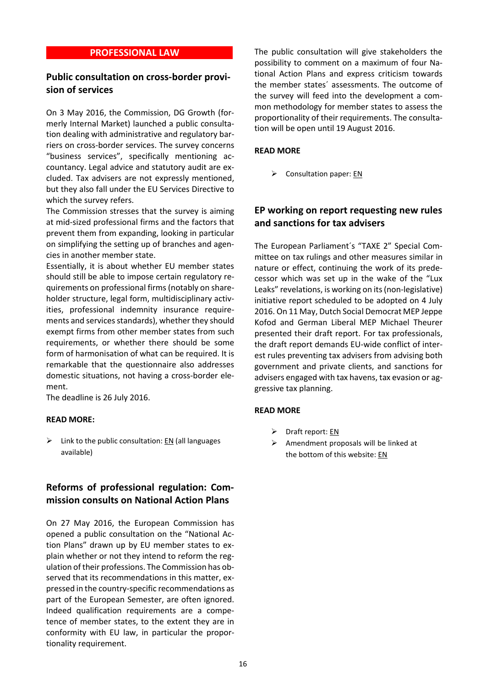### **\_PROFESSIONAL LAW \_**

## **Public consultation on cross-border provision of services**

On 3 May 2016, the Commission, DG Growth (formerly Internal Market) launched a public consultation dealing with administrative and regulatory barriers on cross-border services. The survey concerns "business services", specifically mentioning accountancy. Legal advice and statutory audit are excluded. Tax advisers are not expressly mentioned, but they also fall under the EU Services Directive to which the survey refers.

The Commission stresses that the survey is aiming at mid-sized professional firms and the factors that prevent them from expanding, looking in particular on simplifying the setting up of branches and agencies in another member state.

Essentially, it is about whether EU member states should still be able to impose certain regulatory requirements on professional firms (notably on shareholder structure, legal form, multidisciplinary activities, professional indemnity insurance requirements and services standards), whether they should exempt firms from other member states from such requirements, or whether there should be some form of harmonisation of what can be required. It is remarkable that the questionnaire also addresses domestic situations, not having a cross-border element.

The deadline is 26 July 2016.

#### **READ MORE:**

 $\triangleright$  Link to the public consultation[: EN](http://ec.europa.eu/growth/tools-databases/newsroom/cf/itemdetail.cfm?item_id=8796) (all languages available)

# **Reforms of professional regulation: Commission consults on National Action Plans**

On 27 May 2016, the European Commission has opened a public consultation on the "National Action Plans" drawn up by EU member states to explain whether or not they intend to reform the regulation of their professions. The Commission has observed that its recommendations in this matter, expressed in the country-specific recommendations as part of the European Semester, are often ignored. Indeed qualification requirements are a competence of member states, to the extent they are in conformity with EU law, in particular the proportionality requirement.

The public consultation will give stakeholders the possibility to comment on a maximum of four National Action Plans and express criticism towards the member states´ assessments. The outcome of the survey will feed into the development a common methodology for member states to assess the proportionality of their requirements. The consultation will be open until 19 August 2016.

#### **READ MORE**

 $\triangleright$  Consultation paper: [EN](http://ec.europa.eu/growth/tools-databases/newsroom/cf/itemdetail.cfm?item_id=8827)

## **EP working on report requesting new rules and sanctions for tax advisers**

The European Parliament´s "TAXE 2" Special Committee on tax rulings and other measures similar in nature or effect, continuing the work of its predecessor which was set up in the wake of the "Lux Leaks" revelations, is working on its (non-legislative) initiative report scheduled to be adopted on 4 July 2016. On 11 May, Dutch Social Democrat MEP Jeppe Kofod and German Liberal MEP Michael Theurer presented their draft report. For tax professionals, the draft report demands EU-wide conflict of interest rules preventing tax advisers from advising both government and private clients, and sanctions for advisers engaged with tax havens, tax evasion or aggressive tax planning.

#### **READ MORE**

- $\triangleright$  Draft report: [EN](http://www.europarl.europa.eu/sides/getDoc.do?type=COMPARL&mode=XML&language=EN&reference=PE580.528)
- Amendment proposals will be linked at the bottom of this website[: EN](http://www.europarl.europa.eu/oeil/popups/ficheprocedure.do?reference=2016/2038%28INI%29&l=en)